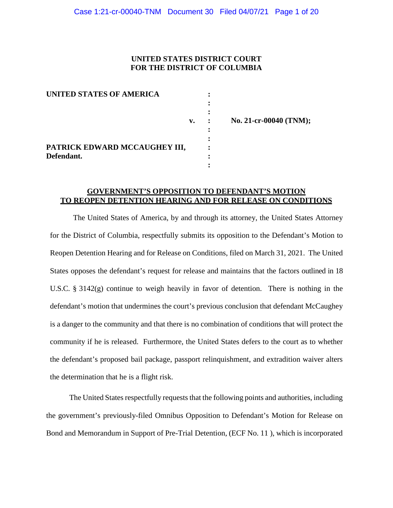### **UNITED STATES DISTRICT COURT FOR THE DISTRICT OF COLUMBIA**

| <b>UNITED STATES OF AMERICA</b>             |    |
|---------------------------------------------|----|
|                                             | v. |
| PATRICK EDWARD MCCAUGHEY III,<br>Defendant. |    |

**v. : No. 21-cr-00040 (TNM);** 

## **GOVERNMENT'S OPPOSITION TO DEFENDANT'S MOTION TO REOPEN DETENTION HEARING AND FOR RELEASE ON CONDITIONS**

The United States of America, by and through its attorney, the United States Attorney for the District of Columbia, respectfully submits its opposition to the Defendant's Motion to Reopen Detention Hearing and for Release on Conditions, filed on March 31, 2021. The United States opposes the defendant's request for release and maintains that the factors outlined in 18 U.S.C. § 3142(g) continue to weigh heavily in favor of detention. There is nothing in the defendant's motion that undermines the court's previous conclusion that defendant McCaughey is a danger to the community and that there is no combination of conditions that will protect the community if he is released. Furthermore, the United States defers to the court as to whether the defendant's proposed bail package, passport relinquishment, and extradition waiver alters the determination that he is a flight risk.

The United States respectfully requests that the following points and authorities, including the government's previously-filed Omnibus Opposition to Defendant's Motion for Release on Bond and Memorandum in Support of Pre-Trial Detention, (ECF No. 11 ), which is incorporated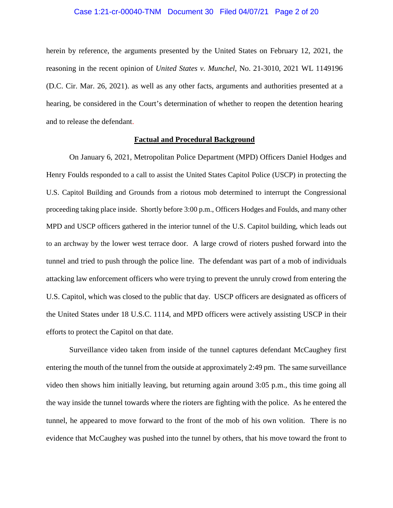#### Case 1:21-cr-00040-TNM Document 30 Filed 04/07/21 Page 2 of 20

herein by reference, the arguments presented by the United States on February 12, 2021, the reasoning in the recent opinion of *United States v. Munchel*, No. 21-3010, 2021 WL 1149196 (D.C. Cir. Mar. 26, 2021). as well as any other facts, arguments and authorities presented at a hearing, be considered in the Court's determination of whether to reopen the detention hearing and to release the defendant.

#### **Factual and Procedural Background**

On January 6, 2021, Metropolitan Police Department (MPD) Officers Daniel Hodges and Henry Foulds responded to a call to assist the United States Capitol Police (USCP) in protecting the U.S. Capitol Building and Grounds from a riotous mob determined to interrupt the Congressional proceeding taking place inside. Shortly before 3:00 p.m., Officers Hodges and Foulds, and many other MPD and USCP officers gathered in the interior tunnel of the U.S. Capitol building, which leads out to an archway by the lower west terrace door. A large crowd of rioters pushed forward into the tunnel and tried to push through the police line. The defendant was part of a mob of individuals attacking law enforcement officers who were trying to prevent the unruly crowd from entering the U.S. Capitol, which was closed to the public that day. USCP officers are designated as officers of the United States under 18 U.S.C. 1114, and MPD officers were actively assisting USCP in their efforts to protect the Capitol on that date.

Surveillance video taken from inside of the tunnel captures defendant McCaughey first entering the mouth of the tunnel from the outside at approximately 2:49 pm. The same surveillance video then shows him initially leaving, but returning again around 3:05 p.m., this time going all the way inside the tunnel towards where the rioters are fighting with the police. As he entered the tunnel, he appeared to move forward to the front of the mob of his own volition. There is no evidence that McCaughey was pushed into the tunnel by others, that his move toward the front to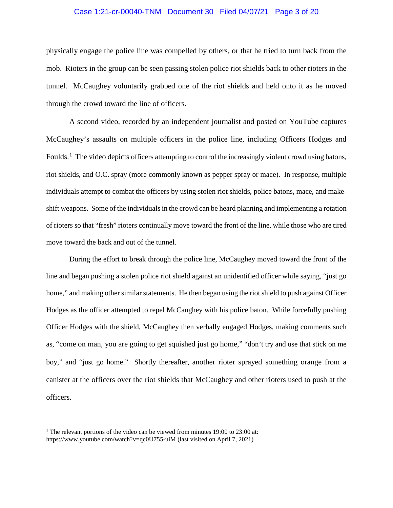#### Case 1:21-cr-00040-TNM Document 30 Filed 04/07/21 Page 3 of 20

physically engage the police line was compelled by others, or that he tried to turn back from the mob. Rioters in the group can be seen passing stolen police riot shields back to other rioters in the tunnel. McCaughey voluntarily grabbed one of the riot shields and held onto it as he moved through the crowd toward the line of officers.

A second video, recorded by an independent journalist and posted on YouTube captures McCaughey's assaults on multiple officers in the police line, including Officers Hodges and Foulds.<sup>1</sup> The video depicts officers attempting to control the increasingly violent crowd using batons, riot shields, and O.C. spray (more commonly known as pepper spray or mace). In response, multiple individuals attempt to combat the officers by using stolen riot shields, police batons, mace, and makeshift weapons. Some of the individuals in the crowd can be heard planning and implementing a rotation of rioters so that "fresh" rioters continually move toward the front of the line, while those who are tired move toward the back and out of the tunnel.

During the effort to break through the police line, McCaughey moved toward the front of the line and began pushing a stolen police riot shield against an unidentified officer while saying, "just go home," and making other similar statements. He then began using the riot shield to push against Officer Hodges as the officer attempted to repel McCaughey with his police baton. While forcefully pushing Officer Hodges with the shield, McCaughey then verbally engaged Hodges, making comments such as, "come on man, you are going to get squished just go home," "don't try and use that stick on me boy," and "just go home." Shortly thereafter, another rioter sprayed something orange from a canister at the officers over the riot shields that McCaughey and other rioters used to push at the officers.

<sup>&</sup>lt;sup>1</sup> The relevant portions of the video can be viewed from minutes 19:00 to 23:00 at: https://www.youtube.com/watch?v=qc0U755-uiM (last visited on April 7, 2021)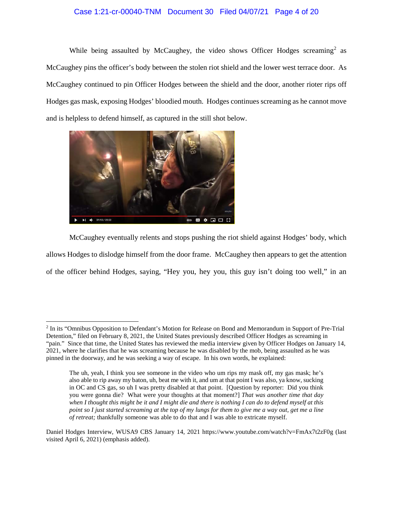#### Case 1:21-cr-00040-TNM Document 30 Filed 04/07/21 Page 4 of 20

While being assaulted by McCaughey, the video shows Officer Hodges screaming<sup>2</sup> as McCaughey pins the officer's body between the stolen riot shield and the lower west terrace door. As McCaughey continued to pin Officer Hodges between the shield and the door, another rioter rips off Hodges gas mask, exposing Hodges' bloodied mouth. Hodges continues screaming as he cannot move and is helpless to defend himself, as captured in the still shot below.



McCaughey eventually relents and stops pushing the riot shield against Hodges' body, which allows Hodges to dislodge himself from the door frame. McCaughey then appears to get the attention of the officer behind Hodges, saying, "Hey you, hey you, this guy isn't doing too well," in an

 <sup>2</sup> In its "Omnibus Opposition to Defendant's Motion for Release on Bond and Memorandum in Support of Pre-Trial Detention," filed on February 8, 2021, the United States previously described Officer Hodges as screaming in "pain." Since that time, the United States has reviewed the media interview given by Officer Hodges on January 14, 2021, where he clarifies that he was screaming because he was disabled by the mob, being assaulted as he was pinned in the doorway, and he was seeking a way of escape. In his own words, he explained:

The uh, yeah, I think you see someone in the video who um rips my mask off, my gas mask; he's also able to rip away my baton, uh, beat me with it, and um at that point I was also, ya know, sucking in OC and CS gas, so uh I was pretty disabled at that point. [Question by reporter: Did you think you were gonna die? What were your thoughts at that moment?] *That was another time that day when I thought this might be it and I might die and there is nothing I can do to defend myself at this point so I just started screaming at the top of my lungs for them to give me a way out, get me a line of retreat;* thankfully someone was able to do that and I was able to extricate myself.

Daniel Hodges Interview, WUSA9 CBS January 14, 2021 https://www.youtube.com/watch?v=FmAx7t2zF0g (last visited April 6, 2021) (emphasis added).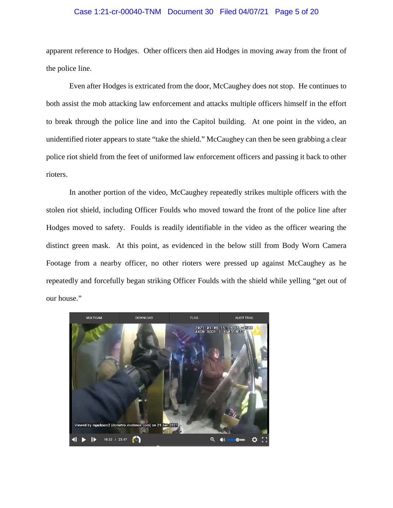#### Case 1:21-cr-00040-TNM Document 30 Filed 04/07/21 Page 5 of 20

apparent reference to Hodges. Other officers then aid Hodges in moving away from the front of the police line.

Even after Hodges is extricated from the door, McCaughey does not stop. He continues to both assist the mob attacking law enforcement and attacks multiple officers himself in the effort to break through the police line and into the Capitol building. At one point in the video, an unidentified rioter appears to state "take the shield." McCaughey can then be seen grabbing a clear police riot shield from the feet of uniformed law enforcement officers and passing it back to other rioters.

In another portion of the video, McCaughey repeatedly strikes multiple officers with the stolen riot shield, including Officer Foulds who moved toward the front of the police line after Hodges moved to safety. Foulds is readily identifiable in the video as the officer wearing the distinct green mask. At this point, as evidenced in the below still from Body Worn Camera Footage from a nearby officer, no other rioters were pressed up against McCaughey as he repeatedly and forcefully began striking Officer Foulds with the shield while yelling "get out of our house."

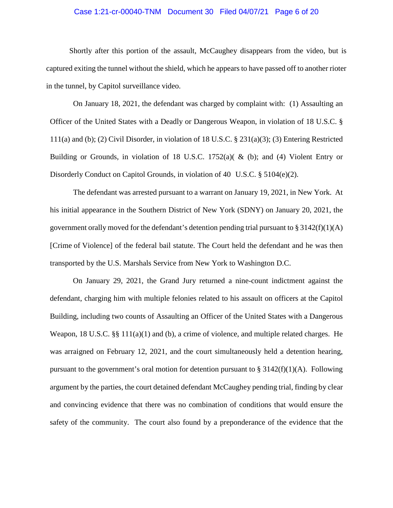#### Case 1:21-cr-00040-TNM Document 30 Filed 04/07/21 Page 6 of 20

Shortly after this portion of the assault, McCaughey disappears from the video, but is captured exiting the tunnel without the shield, which he appears to have passed off to another rioter in the tunnel, by Capitol surveillance video.

On January 18, 2021, the defendant was charged by complaint with: (1) Assaulting an Officer of the United States with a Deadly or Dangerous Weapon, in violation of 18 U.S.C. § 111(a) and (b); (2) Civil Disorder, in violation of 18 U.S.C. § 231(a)(3); (3) Entering Restricted Building or Grounds, in violation of 18 U.S.C.  $1752(a)$  ( & (b); and (4) Violent Entry or Disorderly Conduct on Capitol Grounds, in violation of 40 U.S.C. § 5104(e)(2).

The defendant was arrested pursuant to a warrant on January 19, 2021, in New York. At his initial appearance in the Southern District of New York (SDNY) on January 20, 2021, the government orally moved for the defendant's detention pending trial pursuant to  $\S 3142(f)(1)(A)$ [Crime of Violence] of the federal bail statute. The Court held the defendant and he was then transported by the U.S. Marshals Service from New York to Washington D.C.

On January 29, 2021, the Grand Jury returned a nine-count indictment against the defendant, charging him with multiple felonies related to his assault on officers at the Capitol Building, including two counts of Assaulting an Officer of the United States with a Dangerous Weapon, 18 U.S.C.  $\S$  11 $(1a)(1)$  and (b), a crime of violence, and multiple related charges. He was arraigned on February 12, 2021, and the court simultaneously held a detention hearing, pursuant to the government's oral motion for detention pursuant to  $\S 3142(f)(1)(A)$ . Following argument by the parties, the court detained defendant McCaughey pending trial, finding by clear and convincing evidence that there was no combination of conditions that would ensure the safety of the community. The court also found by a preponderance of the evidence that the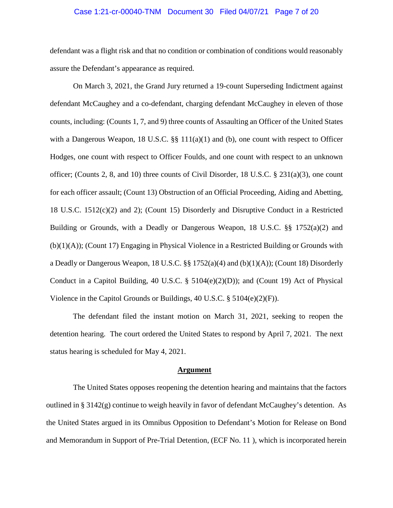#### Case 1:21-cr-00040-TNM Document 30 Filed 04/07/21 Page 7 of 20

defendant was a flight risk and that no condition or combination of conditions would reasonably assure the Defendant's appearance as required.

On March 3, 2021, the Grand Jury returned a 19-count Superseding Indictment against defendant McCaughey and a co-defendant, charging defendant McCaughey in eleven of those counts, including: (Counts 1, 7, and 9) three counts of Assaulting an Officer of the United States with a Dangerous Weapon, 18 U.S.C. §§ 111(a)(1) and (b), one count with respect to Officer Hodges, one count with respect to Officer Foulds, and one count with respect to an unknown officer; (Counts 2, 8, and 10) three counts of Civil Disorder, 18 U.S.C.  $\S$  231(a)(3), one count for each officer assault; (Count 13) Obstruction of an Official Proceeding, Aiding and Abetting, 18 U.S.C. 1512(c)(2) and 2); (Count 15) Disorderly and Disruptive Conduct in a Restricted Building or Grounds, with a Deadly or Dangerous Weapon, 18 U.S.C. §§ 1752(a)(2) and (b)(1)(A)); (Count 17) Engaging in Physical Violence in a Restricted Building or Grounds with a Deadly or Dangerous Weapon, 18 U.S.C. §§ 1752(a)(4) and (b)(1)(A)); (Count 18) Disorderly Conduct in a Capitol Building, 40 U.S.C. §  $5104(e)(2)(D)$ ; and (Count 19) Act of Physical Violence in the Capitol Grounds or Buildings, 40 U.S.C. § 5104(e)(2)(F)).

The defendant filed the instant motion on March 31, 2021, seeking to reopen the detention hearing. The court ordered the United States to respond by April 7, 2021. The next status hearing is scheduled for May 4, 2021.

#### **Argument**

The United States opposes reopening the detention hearing and maintains that the factors outlined in § 3142(g) continue to weigh heavily in favor of defendant McCaughey's detention. As the United States argued in its Omnibus Opposition to Defendant's Motion for Release on Bond and Memorandum in Support of Pre-Trial Detention, (ECF No. 11 ), which is incorporated herein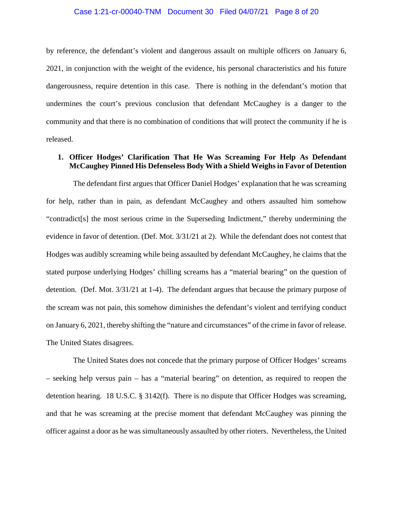#### Case 1:21-cr-00040-TNM Document 30 Filed 04/07/21 Page 8 of 20

by reference, the defendant's violent and dangerous assault on multiple officers on January 6, 2021, in conjunction with the weight of the evidence, his personal characteristics and his future dangerousness, require detention in this case. There is nothing in the defendant's motion that undermines the court's previous conclusion that defendant McCaughey is a danger to the community and that there is no combination of conditions that will protect the community if he is released.

### **1. Officer Hodges' Clarification That He Was Screaming For Help As Defendant McCaughey Pinned His Defenseless Body With a Shield Weighs in Favor of Detention**

The defendant first argues that Officer Daniel Hodges' explanation that he was screaming for help, rather than in pain, as defendant McCaughey and others assaulted him somehow "contradict[s] the most serious crime in the Superseding Indictment," thereby undermining the evidence in favor of detention. (Def. Mot. 3/31/21 at 2). While the defendant does not contest that Hodges was audibly screaming while being assaulted by defendant McCaughey, he claims that the stated purpose underlying Hodges' chilling screams has a "material bearing" on the question of detention. (Def. Mot. 3/31/21 at 1-4). The defendant argues that because the primary purpose of the scream was not pain, this somehow diminishes the defendant's violent and terrifying conduct on January 6, 2021, thereby shifting the "nature and circumstances" of the crime in favor of release. The United States disagrees.

The United States does not concede that the primary purpose of Officer Hodges' screams – seeking help versus pain – has a "material bearing" on detention, as required to reopen the detention hearing. 18 U.S.C. § 3142(f). There is no dispute that Officer Hodges was screaming, and that he was screaming at the precise moment that defendant McCaughey was pinning the officer against a door as he was simultaneously assaulted by other rioters. Nevertheless, the United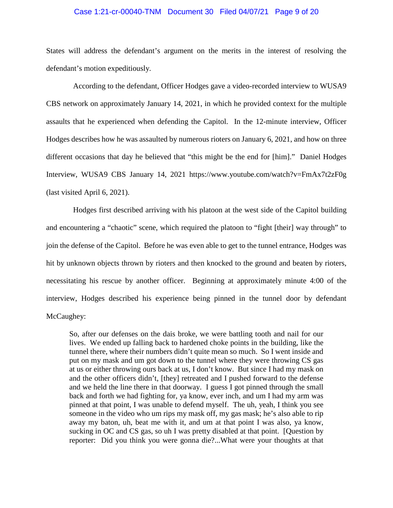#### Case 1:21-cr-00040-TNM Document 30 Filed 04/07/21 Page 9 of 20

States will address the defendant's argument on the merits in the interest of resolving the defendant's motion expeditiously.

According to the defendant, Officer Hodges gave a video-recorded interview to WUSA9 CBS network on approximately January 14, 2021, in which he provided context for the multiple assaults that he experienced when defending the Capitol. In the 12-minute interview, Officer Hodges describes how he was assaulted by numerous rioters on January 6, 2021, and how on three different occasions that day he believed that "this might be the end for [him]." Daniel Hodges Interview, WUSA9 CBS January 14, 2021 https://www.youtube.com/watch?v=FmAx7t2zF0g (last visited April 6, 2021).

Hodges first described arriving with his platoon at the west side of the Capitol building and encountering a "chaotic" scene, which required the platoon to "fight [their] way through" to join the defense of the Capitol. Before he was even able to get to the tunnel entrance, Hodges was hit by unknown objects thrown by rioters and then knocked to the ground and beaten by rioters, necessitating his rescue by another officer. Beginning at approximately minute 4:00 of the interview, Hodges described his experience being pinned in the tunnel door by defendant McCaughey:

So, after our defenses on the dais broke, we were battling tooth and nail for our lives. We ended up falling back to hardened choke points in the building, like the tunnel there, where their numbers didn't quite mean so much. So I went inside and put on my mask and um got down to the tunnel where they were throwing CS gas at us or either throwing ours back at us, I don't know. But since I had my mask on and the other officers didn't, [they] retreated and I pushed forward to the defense and we held the line there in that doorway. I guess I got pinned through the small back and forth we had fighting for, ya know, ever inch, and um I had my arm was pinned at that point, I was unable to defend myself. The uh, yeah, I think you see someone in the video who um rips my mask off, my gas mask; he's also able to rip away my baton, uh, beat me with it, and um at that point I was also, ya know, sucking in OC and CS gas, so uh I was pretty disabled at that point. [Question by reporter: Did you think you were gonna die?...What were your thoughts at that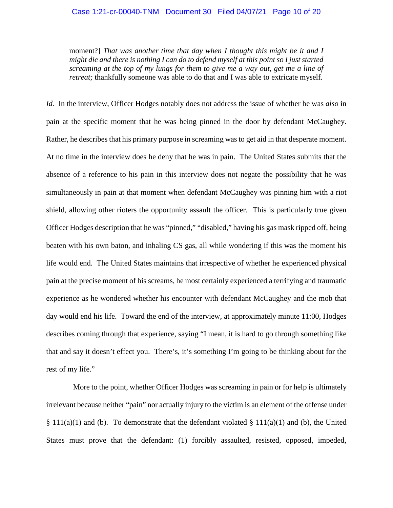#### Case 1:21-cr-00040-TNM Document 30 Filed 04/07/21 Page 10 of 20

moment?] *That was another time that day when I thought this might be it and I might die and there is nothing I can do to defend myself at this point so I just started screaming at the top of my lungs for them to give me a way out, get me a line of retreat;* thankfully someone was able to do that and I was able to extricate myself.

*Id.* In the interview, Officer Hodges notably does not address the issue of whether he was *also* in pain at the specific moment that he was being pinned in the door by defendant McCaughey. Rather, he describes that his primary purpose in screaming was to get aid in that desperate moment. At no time in the interview does he deny that he was in pain. The United States submits that the absence of a reference to his pain in this interview does not negate the possibility that he was simultaneously in pain at that moment when defendant McCaughey was pinning him with a riot shield, allowing other rioters the opportunity assault the officer. This is particularly true given Officer Hodges description that he was "pinned," "disabled," having his gas mask ripped off, being beaten with his own baton, and inhaling CS gas, all while wondering if this was the moment his life would end. The United States maintains that irrespective of whether he experienced physical pain at the precise moment of his screams, he most certainly experienced a terrifying and traumatic experience as he wondered whether his encounter with defendant McCaughey and the mob that day would end his life. Toward the end of the interview, at approximately minute 11:00, Hodges describes coming through that experience, saying "I mean, it is hard to go through something like that and say it doesn't effect you. There's, it's something I'm going to be thinking about for the rest of my life."

More to the point, whether Officer Hodges was screaming in pain or for help is ultimately irrelevant because neither "pain" nor actually injury to the victim is an element of the offense under  $§ 111(a)(1)$  and (b). To demonstrate that the defendant violated  $§ 111(a)(1)$  and (b), the United States must prove that the defendant: (1) forcibly assaulted, resisted, opposed, impeded,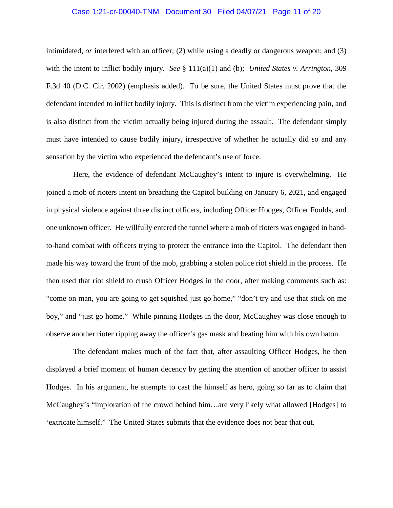#### Case 1:21-cr-00040-TNM Document 30 Filed 04/07/21 Page 11 of 20

intimidated, *or* interfered with an officer; (2) while using a deadly or dangerous weapon; and (3) with the intent to inflict bodily injury. *See* § 111(a)(1) and (b); *United States v. Arrington*, 309 F.3d 40 (D.C. Cir. 2002) (emphasis added). To be sure, the United States must prove that the defendant intended to inflict bodily injury. This is distinct from the victim experiencing pain, and is also distinct from the victim actually being injured during the assault. The defendant simply must have intended to cause bodily injury, irrespective of whether he actually did so and any sensation by the victim who experienced the defendant's use of force.

Here, the evidence of defendant McCaughey's intent to injure is overwhelming. He joined a mob of rioters intent on breaching the Capitol building on January 6, 2021, and engaged in physical violence against three distinct officers, including Officer Hodges, Officer Foulds, and one unknown officer. He willfully entered the tunnel where a mob of rioters was engaged in handto-hand combat with officers trying to protect the entrance into the Capitol. The defendant then made his way toward the front of the mob, grabbing a stolen police riot shield in the process. He then used that riot shield to crush Officer Hodges in the door, after making comments such as: "come on man, you are going to get squished just go home," "don't try and use that stick on me boy," and "just go home." While pinning Hodges in the door, McCaughey was close enough to observe another rioter ripping away the officer's gas mask and beating him with his own baton.

 The defendant makes much of the fact that, after assaulting Officer Hodges, he then displayed a brief moment of human decency by getting the attention of another officer to assist Hodges. In his argument, he attempts to cast the himself as hero, going so far as to claim that McCaughey's "imploration of the crowd behind him…are very likely what allowed [Hodges] to 'extricate himself." The United States submits that the evidence does not bear that out.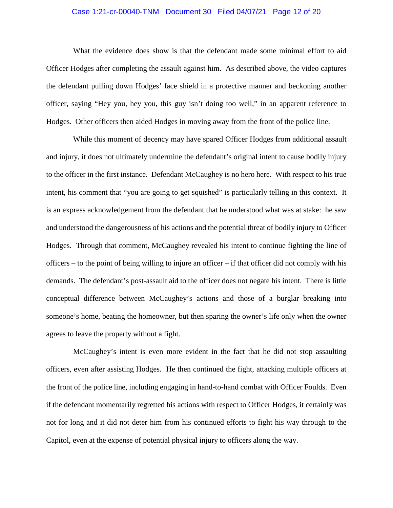#### Case 1:21-cr-00040-TNM Document 30 Filed 04/07/21 Page 12 of 20

What the evidence does show is that the defendant made some minimal effort to aid Officer Hodges after completing the assault against him. As described above, the video captures the defendant pulling down Hodges' face shield in a protective manner and beckoning another officer, saying "Hey you, hey you, this guy isn't doing too well," in an apparent reference to Hodges. Other officers then aided Hodges in moving away from the front of the police line.

While this moment of decency may have spared Officer Hodges from additional assault and injury, it does not ultimately undermine the defendant's original intent to cause bodily injury to the officer in the first instance. Defendant McCaughey is no hero here. With respect to his true intent, his comment that "you are going to get squished" is particularly telling in this context. It is an express acknowledgement from the defendant that he understood what was at stake: he saw and understood the dangerousness of his actions and the potential threat of bodily injury to Officer Hodges. Through that comment, McCaughey revealed his intent to continue fighting the line of officers – to the point of being willing to injure an officer – if that officer did not comply with his demands. The defendant's post-assault aid to the officer does not negate his intent. There is little conceptual difference between McCaughey's actions and those of a burglar breaking into someone's home, beating the homeowner, but then sparing the owner's life only when the owner agrees to leave the property without a fight.

McCaughey's intent is even more evident in the fact that he did not stop assaulting officers, even after assisting Hodges. He then continued the fight, attacking multiple officers at the front of the police line, including engaging in hand-to-hand combat with Officer Foulds. Even if the defendant momentarily regretted his actions with respect to Officer Hodges, it certainly was not for long and it did not deter him from his continued efforts to fight his way through to the Capitol, even at the expense of potential physical injury to officers along the way.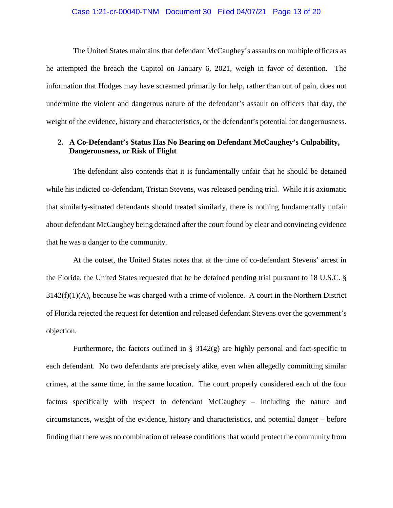#### Case 1:21-cr-00040-TNM Document 30 Filed 04/07/21 Page 13 of 20

The United States maintains that defendant McCaughey's assaults on multiple officers as he attempted the breach the Capitol on January 6, 2021, weigh in favor of detention. The information that Hodges may have screamed primarily for help, rather than out of pain, does not undermine the violent and dangerous nature of the defendant's assault on officers that day, the weight of the evidence, history and characteristics, or the defendant's potential for dangerousness.

## **2. A Co-Defendant's Status Has No Bearing on Defendant McCaughey's Culpability, Dangerousness, or Risk of Flight**

The defendant also contends that it is fundamentally unfair that he should be detained while his indicted co-defendant, Tristan Stevens, was released pending trial. While it is axiomatic that similarly-situated defendants should treated similarly, there is nothing fundamentally unfair about defendant McCaughey being detained after the court found by clear and convincing evidence that he was a danger to the community.

At the outset, the United States notes that at the time of co-defendant Stevens' arrest in the Florida, the United States requested that he be detained pending trial pursuant to 18 U.S.C. §  $3142(f)(1)(A)$ , because he was charged with a crime of violence. A court in the Northern District of Florida rejected the request for detention and released defendant Stevens over the government's objection.

Furthermore, the factors outlined in § 3142(g) are highly personal and fact-specific to each defendant. No two defendants are precisely alike, even when allegedly committing similar crimes, at the same time, in the same location. The court properly considered each of the four factors specifically with respect to defendant McCaughey – including the nature and circumstances, weight of the evidence, history and characteristics, and potential danger – before finding that there was no combination of release conditions that would protect the community from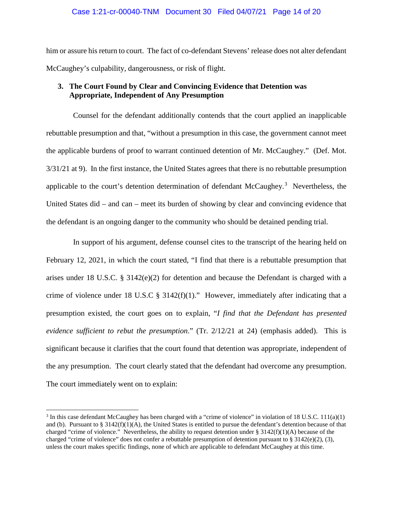#### Case 1:21-cr-00040-TNM Document 30 Filed 04/07/21 Page 14 of 20

him or assure his return to court. The fact of co-defendant Stevens' release does not alter defendant McCaughey's culpability, dangerousness, or risk of flight.

## **3. The Court Found by Clear and Convincing Evidence that Detention was Appropriate, Independent of Any Presumption**

Counsel for the defendant additionally contends that the court applied an inapplicable rebuttable presumption and that, "without a presumption in this case, the government cannot meet the applicable burdens of proof to warrant continued detention of Mr. McCaughey." (Def. Mot. 3/31/21 at 9). In the first instance, the United States agrees that there is no rebuttable presumption applicable to the court's detention determination of defendant McCaughey.<sup>3</sup> Nevertheless, the United States did – and can – meet its burden of showing by clear and convincing evidence that the defendant is an ongoing danger to the community who should be detained pending trial.

In support of his argument, defense counsel cites to the transcript of the hearing held on February 12, 2021, in which the court stated, "I find that there is a rebuttable presumption that arises under 18 U.S.C.  $\S 3142(e)(2)$  for detention and because the Defendant is charged with a crime of violence under 18 U.S.C  $\S$  3142(f)(1)." However, immediately after indicating that a presumption existed, the court goes on to explain, "*I find that the Defendant has presented evidence sufficient to rebut the presumption*." (Tr. 2/12/21 at 24) (emphasis added). This is significant because it clarifies that the court found that detention was appropriate, independent of the any presumption. The court clearly stated that the defendant had overcome any presumption. The court immediately went on to explain:

<sup>&</sup>lt;sup>3</sup> In this case defendant McCaughey has been charged with a "crime of violence" in violation of 18 U.S.C. 111(a)(1) and (b). Pursuant to  $\S 3142(f)(1)(A)$ , the United States is entitled to pursue the defendant's detention because of that charged "crime of violence." Nevertheless, the ability to request detention under  $\S 3142(f)(1)(A)$  because of the charged "crime of violence" does not confer a rebuttable presumption of detention pursuant to § 3142(e)(2), (3), unless the court makes specific findings, none of which are applicable to defendant McCaughey at this time.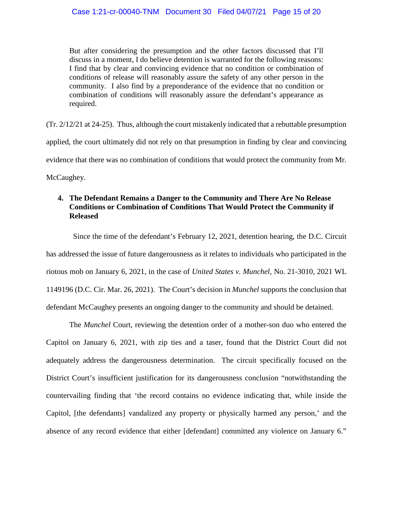But after considering the presumption and the other factors discussed that I'll discuss in a moment, I do believe detention is warranted for the following reasons: I find that by clear and convincing evidence that no condition or combination of conditions of release will reasonably assure the safety of any other person in the community. I also find by a preponderance of the evidence that no condition or combination of conditions will reasonably assure the defendant's appearance as required.

(Tr. 2/12/21 at 24-25). Thus, although the court mistakenly indicated that a rebuttable presumption applied, the court ultimately did not rely on that presumption in finding by clear and convincing evidence that there was no combination of conditions that would protect the community from Mr. McCaughey.

## **4. The Defendant Remains a Danger to the Community and There Are No Release Conditions or Combination of Conditions That Would Protect the Community if Released**

Since the time of the defendant's February 12, 2021, detention hearing, the D.C. Circuit has addressed the issue of future dangerousness as it relates to individuals who participated in the riotous mob on January 6, 2021, in the case of *United States v. Munchel*, No. 21-3010, 2021 WL 1149196 (D.C. Cir. Mar. 26, 2021). The Court's decision in *Munchel* supports the conclusion that defendant McCaughey presents an ongoing danger to the community and should be detained.

The *Munchel* Court, reviewing the detention order of a mother-son duo who entered the Capitol on January 6, 2021, with zip ties and a taser, found that the District Court did not adequately address the dangerousness determination. The circuit specifically focused on the District Court's insufficient justification for its dangerousness conclusion "notwithstanding the countervailing finding that 'the record contains no evidence indicating that, while inside the Capitol, [the defendants] vandalized any property or physically harmed any person,' and the absence of any record evidence that either [defendant] committed any violence on January 6."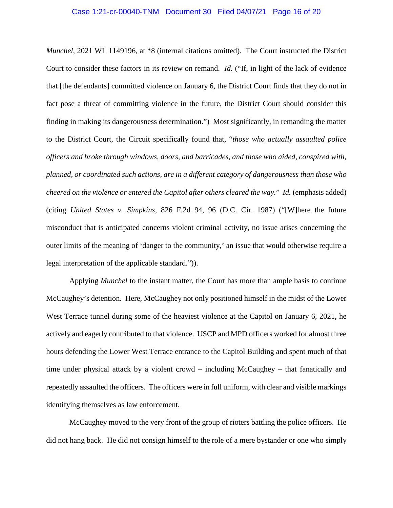#### Case 1:21-cr-00040-TNM Document 30 Filed 04/07/21 Page 16 of 20

*Munchel*, 2021 WL 1149196, at \*8 (internal citations omitted). The Court instructed the District Court to consider these factors in its review on remand. *Id.* ("If, in light of the lack of evidence that [the defendants] committed violence on January 6, the District Court finds that they do not in fact pose a threat of committing violence in the future, the District Court should consider this finding in making its dangerousness determination.") Most significantly, in remanding the matter to the District Court, the Circuit specifically found that, "*those who actually assaulted police officers and broke through windows, doors, and barricades, and those who aided, conspired with, planned, or coordinated such actions, are in a different category of dangerousness than those who cheered on the violence or entered the Capitol after others cleared the way.*" *Id.* (emphasis added) (citing *United States v. Simpkins*, 826 F.2d 94, 96 (D.C. Cir. 1987) ("[W]here the future misconduct that is anticipated concerns violent criminal activity, no issue arises concerning the outer limits of the meaning of 'danger to the community,' an issue that would otherwise require a legal interpretation of the applicable standard.")).

Applying *Munchel* to the instant matter, the Court has more than ample basis to continue McCaughey's detention. Here, McCaughey not only positioned himself in the midst of the Lower West Terrace tunnel during some of the heaviest violence at the Capitol on January 6, 2021, he actively and eagerly contributed to that violence. USCP and MPD officers worked for almost three hours defending the Lower West Terrace entrance to the Capitol Building and spent much of that time under physical attack by a violent crowd – including McCaughey – that fanatically and repeatedly assaulted the officers. The officers were in full uniform, with clear and visible markings identifying themselves as law enforcement.

McCaughey moved to the very front of the group of rioters battling the police officers. He did not hang back. He did not consign himself to the role of a mere bystander or one who simply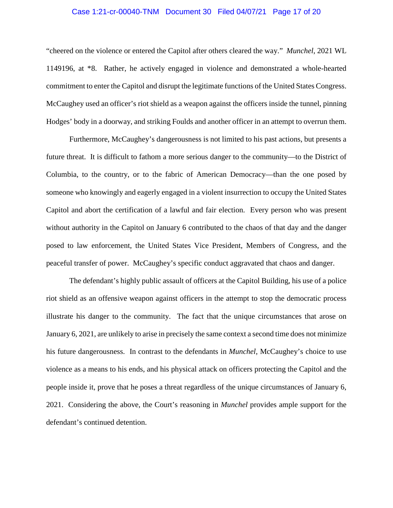#### Case 1:21-cr-00040-TNM Document 30 Filed 04/07/21 Page 17 of 20

"cheered on the violence or entered the Capitol after others cleared the way." *Munchel*, 2021 WL 1149196, at \*8. Rather, he actively engaged in violence and demonstrated a whole-hearted commitment to enter the Capitol and disrupt the legitimate functions of the United States Congress. McCaughey used an officer's riot shield as a weapon against the officers inside the tunnel, pinning Hodges' body in a doorway, and striking Foulds and another officer in an attempt to overrun them.

Furthermore, McCaughey's dangerousness is not limited to his past actions, but presents a future threat. It is difficult to fathom a more serious danger to the community—to the District of Columbia, to the country, or to the fabric of American Democracy—than the one posed by someone who knowingly and eagerly engaged in a violent insurrection to occupy the United States Capitol and abort the certification of a lawful and fair election. Every person who was present without authority in the Capitol on January 6 contributed to the chaos of that day and the danger posed to law enforcement, the United States Vice President, Members of Congress, and the peaceful transfer of power. McCaughey's specific conduct aggravated that chaos and danger.

The defendant's highly public assault of officers at the Capitol Building, his use of a police riot shield as an offensive weapon against officers in the attempt to stop the democratic process illustrate his danger to the community. The fact that the unique circumstances that arose on January 6, 2021, are unlikely to arise in precisely the same context a second time does not minimize his future dangerousness. In contrast to the defendants in *Munchel*, McCaughey's choice to use violence as a means to his ends, and his physical attack on officers protecting the Capitol and the people inside it, prove that he poses a threat regardless of the unique circumstances of January 6, 2021. Considering the above, the Court's reasoning in *Munchel* provides ample support for the defendant's continued detention.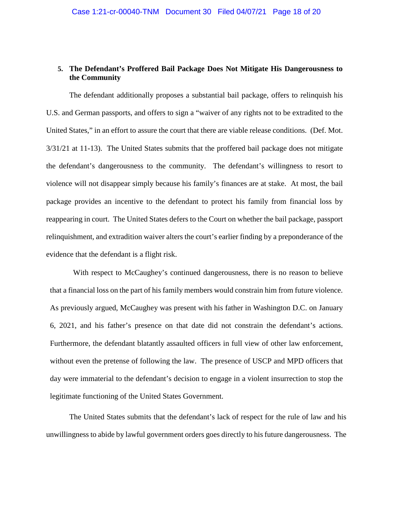## **5. The Defendant's Proffered Bail Package Does Not Mitigate His Dangerousness to the Community**

The defendant additionally proposes a substantial bail package, offers to relinquish his U.S. and German passports, and offers to sign a "waiver of any rights not to be extradited to the United States," in an effort to assure the court that there are viable release conditions. (Def. Mot. 3/31/21 at 11-13). The United States submits that the proffered bail package does not mitigate the defendant's dangerousness to the community. The defendant's willingness to resort to violence will not disappear simply because his family's finances are at stake. At most, the bail package provides an incentive to the defendant to protect his family from financial loss by reappearing in court. The United States defers to the Court on whether the bail package, passport relinquishment, and extradition waiver alters the court's earlier finding by a preponderance of the evidence that the defendant is a flight risk.

With respect to McCaughey's continued dangerousness, there is no reason to believe that a financial loss on the part of his family members would constrain him from future violence. As previously argued, McCaughey was present with his father in Washington D.C. on January 6, 2021, and his father's presence on that date did not constrain the defendant's actions. Furthermore, the defendant blatantly assaulted officers in full view of other law enforcement, without even the pretense of following the law. The presence of USCP and MPD officers that day were immaterial to the defendant's decision to engage in a violent insurrection to stop the legitimate functioning of the United States Government.

The United States submits that the defendant's lack of respect for the rule of law and his unwillingness to abide by lawful government orders goes directly to his future dangerousness. The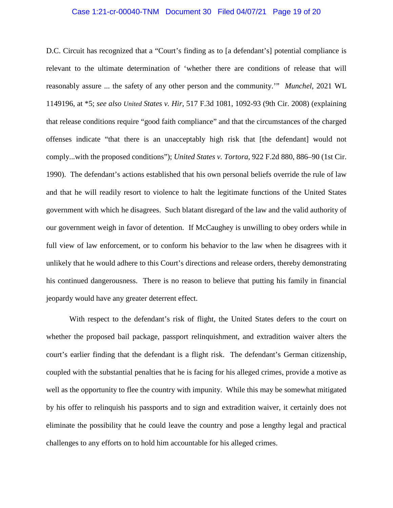#### Case 1:21-cr-00040-TNM Document 30 Filed 04/07/21 Page 19 of 20

D.C. Circuit has recognized that a "Court's finding as to [a defendant's] potential compliance is relevant to the ultimate determination of 'whether there are conditions of release that will reasonably assure ... the safety of any other person and the community.'" *Munchel*, 2021 WL 1149196, at \*5; *see also United States v. Hir*, 517 F.3d 1081, 1092-93 (9th Cir. 2008) (explaining that release conditions require "good faith compliance" and that the circumstances of the charged offenses indicate "that there is an unacceptably high risk that [the defendant] would not comply...with the proposed conditions"); *United States v. Tortora*, 922 F.2d 880, 886–90 (1st Cir. 1990). The defendant's actions established that his own personal beliefs override the rule of law and that he will readily resort to violence to halt the legitimate functions of the United States government with which he disagrees. Such blatant disregard of the law and the valid authority of our government weigh in favor of detention. If McCaughey is unwilling to obey orders while in full view of law enforcement, or to conform his behavior to the law when he disagrees with it unlikely that he would adhere to this Court's directions and release orders, thereby demonstrating his continued dangerousness. There is no reason to believe that putting his family in financial jeopardy would have any greater deterrent effect.

With respect to the defendant's risk of flight, the United States defers to the court on whether the proposed bail package, passport relinquishment, and extradition waiver alters the court's earlier finding that the defendant is a flight risk. The defendant's German citizenship, coupled with the substantial penalties that he is facing for his alleged crimes, provide a motive as well as the opportunity to flee the country with impunity. While this may be somewhat mitigated by his offer to relinquish his passports and to sign and extradition waiver, it certainly does not eliminate the possibility that he could leave the country and pose a lengthy legal and practical challenges to any efforts on to hold him accountable for his alleged crimes.